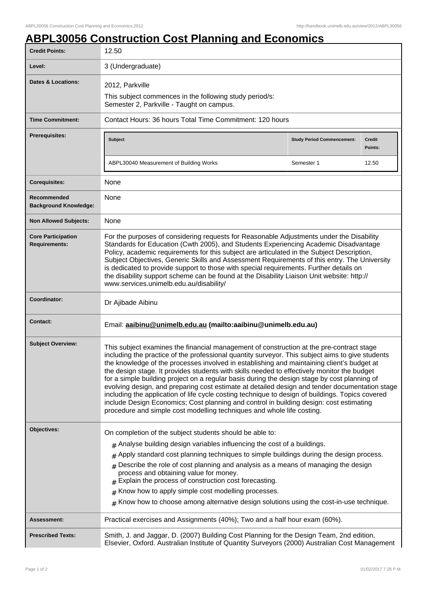## **ABPL30056 Construction Cost Planning and Economics**

| <b>Credit Points:</b>                             | 12.50                                                                                                                                                                                                                                                                                                                                                                                                                                                                                                                                                                                                                                                                                                                                                                                                                                                                |                                   |                          |
|---------------------------------------------------|----------------------------------------------------------------------------------------------------------------------------------------------------------------------------------------------------------------------------------------------------------------------------------------------------------------------------------------------------------------------------------------------------------------------------------------------------------------------------------------------------------------------------------------------------------------------------------------------------------------------------------------------------------------------------------------------------------------------------------------------------------------------------------------------------------------------------------------------------------------------|-----------------------------------|--------------------------|
| Level:                                            | 3 (Undergraduate)                                                                                                                                                                                                                                                                                                                                                                                                                                                                                                                                                                                                                                                                                                                                                                                                                                                    |                                   |                          |
| <b>Dates &amp; Locations:</b>                     | 2012, Parkville                                                                                                                                                                                                                                                                                                                                                                                                                                                                                                                                                                                                                                                                                                                                                                                                                                                      |                                   |                          |
|                                                   | This subject commences in the following study period/s:<br>Semester 2, Parkville - Taught on campus.                                                                                                                                                                                                                                                                                                                                                                                                                                                                                                                                                                                                                                                                                                                                                                 |                                   |                          |
| <b>Time Commitment:</b>                           | Contact Hours: 36 hours Total Time Commitment: 120 hours                                                                                                                                                                                                                                                                                                                                                                                                                                                                                                                                                                                                                                                                                                                                                                                                             |                                   |                          |
| <b>Prerequisites:</b>                             | <b>Subject</b>                                                                                                                                                                                                                                                                                                                                                                                                                                                                                                                                                                                                                                                                                                                                                                                                                                                       | <b>Study Period Commencement:</b> | <b>Credit</b><br>Points: |
|                                                   | ABPL30040 Measurement of Building Works                                                                                                                                                                                                                                                                                                                                                                                                                                                                                                                                                                                                                                                                                                                                                                                                                              | Semester 1                        | 12.50                    |
| <b>Corequisites:</b>                              | None                                                                                                                                                                                                                                                                                                                                                                                                                                                                                                                                                                                                                                                                                                                                                                                                                                                                 |                                   |                          |
| Recommended<br><b>Background Knowledge:</b>       | None                                                                                                                                                                                                                                                                                                                                                                                                                                                                                                                                                                                                                                                                                                                                                                                                                                                                 |                                   |                          |
| <b>Non Allowed Subjects:</b>                      | None                                                                                                                                                                                                                                                                                                                                                                                                                                                                                                                                                                                                                                                                                                                                                                                                                                                                 |                                   |                          |
| <b>Core Participation</b><br><b>Requirements:</b> | For the purposes of considering requests for Reasonable Adjustments under the Disability<br>Standards for Education (Cwth 2005), and Students Experiencing Academic Disadvantage<br>Policy, academic requirements for this subject are articulated in the Subject Description,<br>Subject Objectives, Generic Skills and Assessment Requirements of this entry. The University<br>is dedicated to provide support to those with special requirements. Further details on<br>the disability support scheme can be found at the Disability Liaison Unit website: http://<br>www.services.unimelb.edu.au/disability/                                                                                                                                                                                                                                                    |                                   |                          |
| Coordinator:                                      | Dr Ajibade Aibinu                                                                                                                                                                                                                                                                                                                                                                                                                                                                                                                                                                                                                                                                                                                                                                                                                                                    |                                   |                          |
| <b>Contact:</b>                                   | Email: aaibinu@unimelb.edu.au (mailto:aaibinu@unimelb.edu.au)                                                                                                                                                                                                                                                                                                                                                                                                                                                                                                                                                                                                                                                                                                                                                                                                        |                                   |                          |
| <b>Subject Overview:</b>                          | This subject examines the financial management of construction at the pre-contract stage<br>including the practice of the professional quantity surveyor. This subject aims to give students<br>the knowledge of the processes involved in establishing and maintaining client's budget at<br>the design stage. It provides students with skills needed to effectively monitor the budget<br>for a simple building project on a regular basis during the design stage by cost planning of<br>evolving design, and preparing cost estimate at detailed design and tender documentation stage<br>including the application of life cycle costing technique to design of buildings. Topics covered<br>include Design Economics; Cost planning and control in building design: cost estimating<br>procedure and simple cost modelling techniques and whole life costing. |                                   |                          |
| Objectives:                                       | On completion of the subject students should be able to:                                                                                                                                                                                                                                                                                                                                                                                                                                                                                                                                                                                                                                                                                                                                                                                                             |                                   |                          |
|                                                   | $#$ Analyse building design variables influencing the cost of a buildings.                                                                                                                                                                                                                                                                                                                                                                                                                                                                                                                                                                                                                                                                                                                                                                                           |                                   |                          |
|                                                   | Apply standard cost planning techniques to simple buildings during the design process.<br>#                                                                                                                                                                                                                                                                                                                                                                                                                                                                                                                                                                                                                                                                                                                                                                          |                                   |                          |
|                                                   | Describe the role of cost planning and analysis as a means of managing the design<br>process and obtaining value for money.<br>Explain the process of construction cost forecasting.                                                                                                                                                                                                                                                                                                                                                                                                                                                                                                                                                                                                                                                                                 |                                   |                          |
|                                                   | Know how to apply simple cost modelling processes.<br>#                                                                                                                                                                                                                                                                                                                                                                                                                                                                                                                                                                                                                                                                                                                                                                                                              |                                   |                          |
|                                                   | Know how to choose among alternative design solutions using the cost-in-use technique.<br>#                                                                                                                                                                                                                                                                                                                                                                                                                                                                                                                                                                                                                                                                                                                                                                          |                                   |                          |
| Assessment:                                       | Practical exercises and Assignments (40%); Two and a half hour exam (60%).                                                                                                                                                                                                                                                                                                                                                                                                                                                                                                                                                                                                                                                                                                                                                                                           |                                   |                          |
| <b>Prescribed Texts:</b>                          | Smith, J. and Jaggar, D. (2007) Building Cost Planning for the Design Team, 2nd edition,<br>Elsevier, Oxford. Australian Institute of Quantity Surveyors (2000) Australian Cost Management                                                                                                                                                                                                                                                                                                                                                                                                                                                                                                                                                                                                                                                                           |                                   |                          |